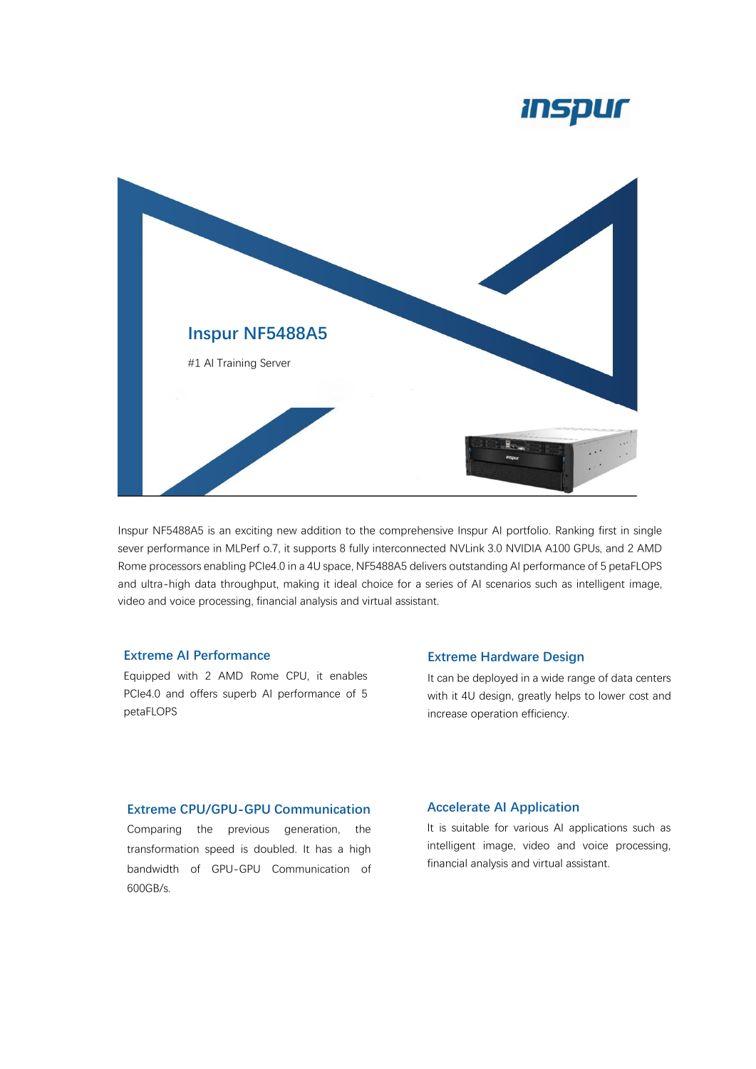# *Inspur*



Inspur NF5488A5 is an exciting new addition to the comprehensive Inspur AI portfolio. Ranking first in single sever performance in MLPerf o.7, it supports 8 fully interconnected NVLink 3.0 NVIDIA A100 GPUs, and 2 AMD Rome processors enabling PCIe4.0 in a 4U space, NF5488A5 delivers outstanding AI performance of 5 petaFLOPS and ultra-high data throughput, making it ideal choice for a series of AI scenarios such as intelligent image, video and voice processing, financial analysis and virtual assistant.

### **Extreme AI Performance**

Equipped with 2 AMD Rome CPU, it enables PCIe4.0 and offers superb AI performance of 5 petaFLOPS

#### **Extreme Hardware Design**

It can be deployed in a wide range of data centers with it 4U design, greatly helps to lower cost and increase operation efficiency.

## **Extreme CPU/GPU-GPU Communication**

Comparing the previous generation, the transformation speed is doubled. It has a high bandwidth of GPU-GPU Communication of 600GB/s.

#### **Accelerate AI Application**

It is suitable for various AI applications such as intelligent image, video and voice processing, financial analysis and virtual assistant.